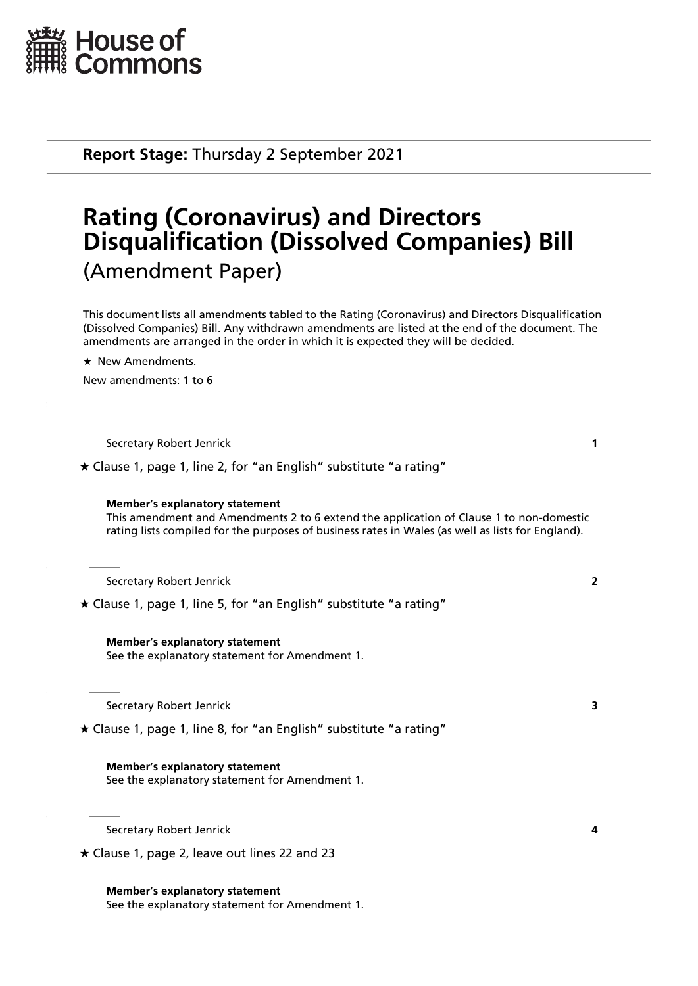

**Report Stage:** Thursday 2 September 2021

# **Rating (Coronavirus) and Directors Disqualification (Dissolved Companies) Bill** (Amendment Paper)

This document lists all amendments tabled to the Rating (Coronavirus) and Directors Disqualification (Dissolved Companies) Bill. Any withdrawn amendments are listed at the end of the document. The amendments are arranged in the order in which it is expected they will be decided.

 $\star$  New Amendments.

New amendments: 1 to 6

| Secretary Robert Jenrick |  |
|--------------------------|--|
|--------------------------|--|

 $\star$  Clause 1, page 1, line 2, for "an English" substitute "a rating"

### **Member's explanatory statement**

This amendment and Amendments 2 to 6 extend the application of Clause 1 to non-domestic rating lists compiled for the purposes of business rates in Wales (as well as lists for England).

Secretary Robert Jenrick **2**

 $\star$  Clause 1, page 1, line 5, for "an English" substitute "a rating"

**Member's explanatory statement** See the explanatory statement for Amendment 1.

Secretary Robert Jenrick **3**

 $\star$  Clause 1, page 1, line 8, for "an English" substitute "a rating"

### **Member's explanatory statement**

See the explanatory statement for Amendment 1.

Secretary Robert Jenrick **4**

**Member's explanatory statement**

See the explanatory statement for Amendment 1.

 $\star$  Clause 1, page 2, leave out lines 22 and 23